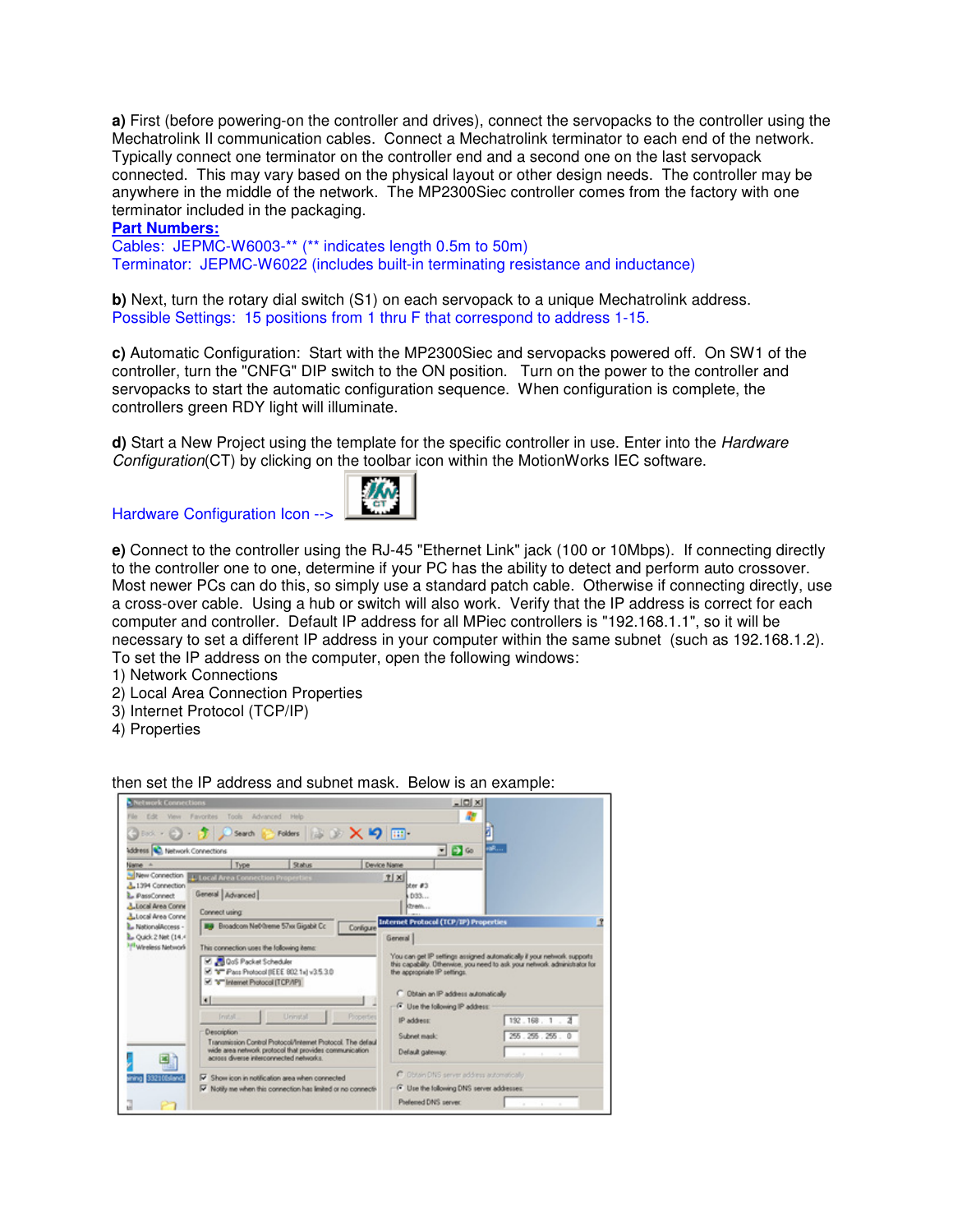**a)** First (before powering-on the controller and drives), connect the servopacks to the controller using the Mechatrolink II communication cables. Connect a Mechatrolink terminator to each end of the network. Typically connect one terminator on the controller end and a second one on the last servopack connected. This may vary based on the physical layout or other design needs. The controller may be anywhere in the middle of the network. The MP2300Siec controller comes from the factory with one terminator included in the packaging.

## **Part Numbers:**

Cables: JEPMC-W6003-\*\* (\*\* indicates length 0.5m to 50m) Terminator: JEPMC-W6022 (includes built-in terminating resistance and inductance)

**b**) Next, turn the rotary dial switch (S1) on each servopack to a unique Mechatrolink address. Possible Settings: 15 positions from 1 thru F that correspond to address 1-15.

**c)** Automatic Configuration: Start with the MP2300Siec and servopacks powered off. On SW1 of the controller, turn the "CNFG" DIP switch to the ON position. Turn on the power to the controller and servopacks to start the automatic configuration sequence. When configuration is complete, the controllers green RDY light will illuminate.

**d)** Start a New Project using the template for the specific controller in use. Enter into the Hardware Configuration(CT) by clicking on the toolbar icon within the MotionWorks IEC software.





**e)** Connect to the controller using the RJ-45 "Ethernet Link" jack (100 or 10Mbps). If connecting directly to the controller one to one, determine if your PC has the ability to detect and perform auto crossover. Most newer PCs can do this, so simply use a standard patch cable. Otherwise if connecting directly, use a cross-over cable. Using a hub or switch will also work. Verify that the IP address is correct for each computer and controller. Default IP address for all MPiec controllers is "192.168.1.1", so it will be necessary to set a different IP address in your computer within the same subnet (such as 192.168.1.2). To set the IP address on the computer, open the following windows:

1) Network Connections

- 2) Local Area Connection Properties
- 3) Internet Protocol (TCP/IP)
- 4) Properties



then set the IP address and subnet mask. Below is an example: